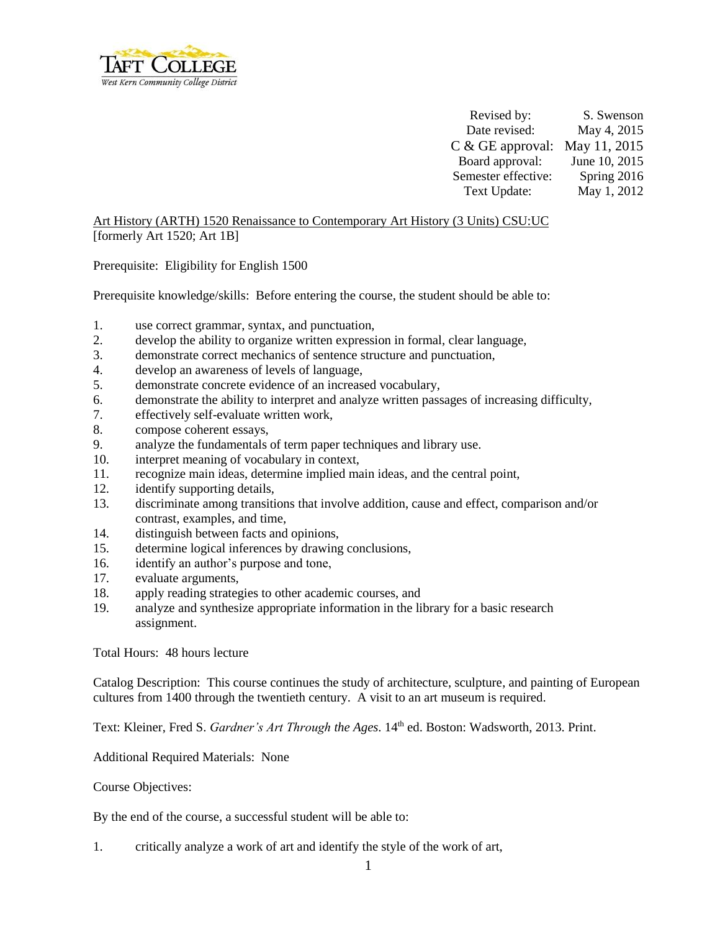

Revised by: S. Swenson Date revised: May 4, 2015 C & GE approval: May 11, 2015 Board approval: June 10, 2015 Semester effective: Spring 2016 Text Update: May 1, 2012

Art History (ARTH) 1520 Renaissance to Contemporary Art History (3 Units) CSU:UC [formerly Art 1520; Art 1B]

Prerequisite:Eligibility for English 1500

Prerequisite knowledge/skills: Before entering the course, the student should be able to:

- 1. use correct grammar, syntax, and punctuation,
- 2. develop the ability to organize written expression in formal, clear language,
- 3. demonstrate correct mechanics of sentence structure and punctuation,
- 4. develop an awareness of levels of language,
- 5. demonstrate concrete evidence of an increased vocabulary,
- 6. demonstrate the ability to interpret and analyze written passages of increasing difficulty,
- 7. effectively self-evaluate written work,
- 8. compose coherent essays,
- 9. analyze the fundamentals of term paper techniques and library use.
- 10. interpret meaning of vocabulary in context,
- 11. recognize main ideas, determine implied main ideas, and the central point,
- 12. identify supporting details,
- 13. discriminate among transitions that involve addition, cause and effect, comparison and/or contrast, examples, and time,
- 14. distinguish between facts and opinions,
- 15. determine logical inferences by drawing conclusions,
- 16. identify an author's purpose and tone,
- 17. evaluate arguments,
- 18. apply reading strategies to other academic courses, and
- 19. analyze and synthesize appropriate information in the library for a basic research assignment.

Total Hours: 48 hours lecture

Catalog Description: This course continues the study of architecture, sculpture, and painting of European cultures from 1400 through the twentieth century. A visit to an art museum is required.

Text: Kleiner, Fred S. *Gardner's Art Through the Ages*. 14<sup>th</sup> ed. Boston: Wadsworth, 2013. Print.

Additional Required Materials: None

Course Objectives:

By the end of the course, a successful student will be able to:

1. critically analyze a work of art and identify the style of the work of art,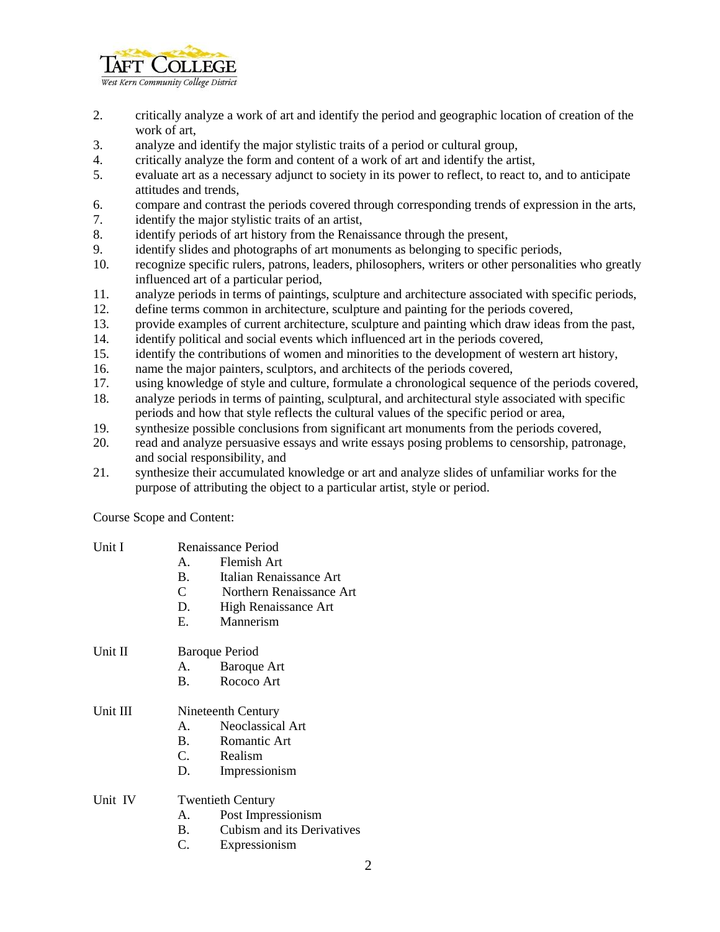

- 2. critically analyze a work of art and identify the period and geographic location of creation of the work of art,
- 3. analyze and identify the major stylistic traits of a period or cultural group,
- 4. critically analyze the form and content of a work of art and identify the artist,
- 5. evaluate art as a necessary adjunct to society in its power to reflect, to react to, and to anticipate attitudes and trends,
- 6. compare and contrast the periods covered through corresponding trends of expression in the arts,
- 7. identify the major stylistic traits of an artist,
- 8. identify periods of art history from the Renaissance through the present,
- 9. identify slides and photographs of art monuments as belonging to specific periods,
- 10. recognize specific rulers, patrons, leaders, philosophers, writers or other personalities who greatly influenced art of a particular period,
- 11. analyze periods in terms of paintings, sculpture and architecture associated with specific periods,
- 12. define terms common in architecture, sculpture and painting for the periods covered,
- 13. provide examples of current architecture, sculpture and painting which draw ideas from the past,
- 14. identify political and social events which influenced art in the periods covered,
- 15. identify the contributions of women and minorities to the development of western art history,
- 16. name the major painters, sculptors, and architects of the periods covered,
- 17. using knowledge of style and culture, formulate a chronological sequence of the periods covered,
- 18. analyze periods in terms of painting, sculptural, and architectural style associated with specific periods and how that style reflects the cultural values of the specific period or area,
- 19. synthesize possible conclusions from significant art monuments from the periods covered,
- 20. read and analyze persuasive essays and write essays posing problems to censorship, patronage, and social responsibility, and
- 21. synthesize their accumulated knowledge or art and analyze slides of unfamiliar works for the purpose of attributing the object to a particular artist, style or period.

Course Scope and Content:

| Unit I   |                          | Renaissance Period         |  |  |
|----------|--------------------------|----------------------------|--|--|
|          | $\mathbf{A}$             | Flemish Art                |  |  |
|          | <b>B</b> .               | Italian Renaissance Art    |  |  |
|          | $\mathbf C$              | Northern Renaissance Art   |  |  |
|          | D.                       | High Renaissance Art       |  |  |
|          | Е.                       | Mannerism                  |  |  |
| Unit II  | <b>Baroque Period</b>    |                            |  |  |
|          |                          | A. Baroque Art             |  |  |
|          | <b>B.</b>                | Rococo Art                 |  |  |
| Unit III | Nineteenth Century       |                            |  |  |
|          |                          | A. Neoclassical Art        |  |  |
|          | <b>B.</b>                | Romantic Art               |  |  |
|          |                          | C. Realism                 |  |  |
|          | D.                       | Impressionism              |  |  |
| Unit IV  | <b>Twentieth Century</b> |                            |  |  |
|          | А.                       | Post Impressionism         |  |  |
|          | <b>B.</b>                | Cubism and its Derivatives |  |  |
|          | C.                       | Expressionism              |  |  |
|          |                          |                            |  |  |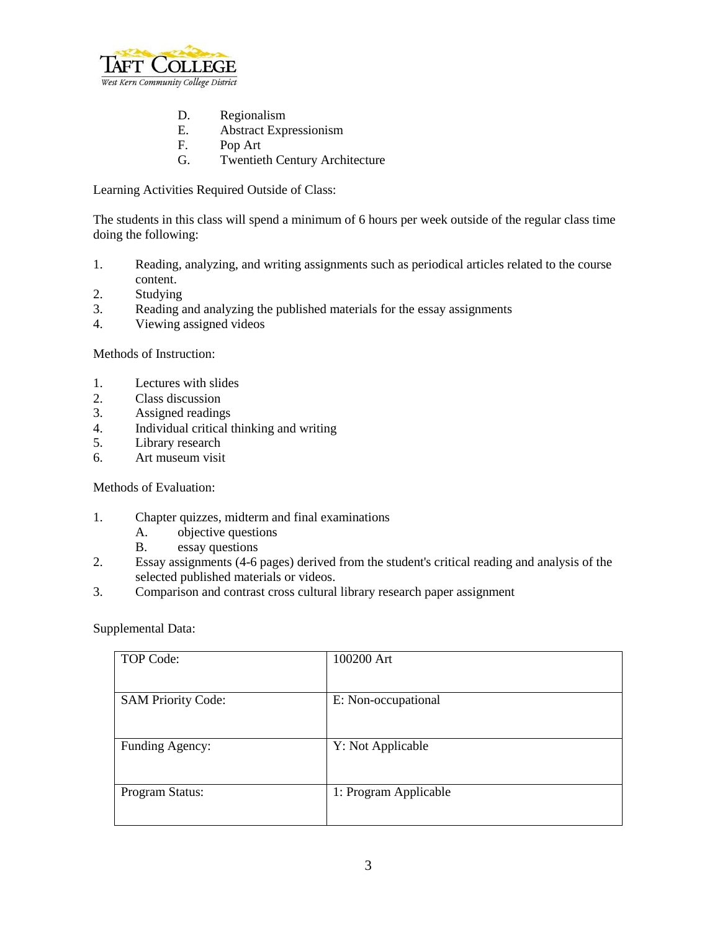

- D. Regionalism
- E. Abstract Expressionism
- F. Pop Art
- G. Twentieth Century Architecture

Learning Activities Required Outside of Class:

The students in this class will spend a minimum of 6 hours per week outside of the regular class time doing the following:

- 1. Reading, analyzing, and writing assignments such as periodical articles related to the course content.
- 2. Studying
- 3. Reading and analyzing the published materials for the essay assignments
- 4. Viewing assigned videos

Methods of Instruction:

- 1. Lectures with slides
- 2. Class discussion
- 3. Assigned readings
- 4. Individual critical thinking and writing
- 5. Library research
- 6. Art museum visit

Methods of Evaluation:

- 1. Chapter quizzes, midterm and final examinations
	- A. objective questions
	- B. essay questions
- 2. Essay assignments (4-6 pages) derived from the student's critical reading and analysis of the selected published materials or videos.
- 3. Comparison and contrast cross cultural library research paper assignment

Supplemental Data:

| TOP Code:                 | 100200 Art            |
|---------------------------|-----------------------|
| <b>SAM Priority Code:</b> | E: Non-occupational   |
| Funding Agency:           | Y: Not Applicable     |
| Program Status:           | 1: Program Applicable |